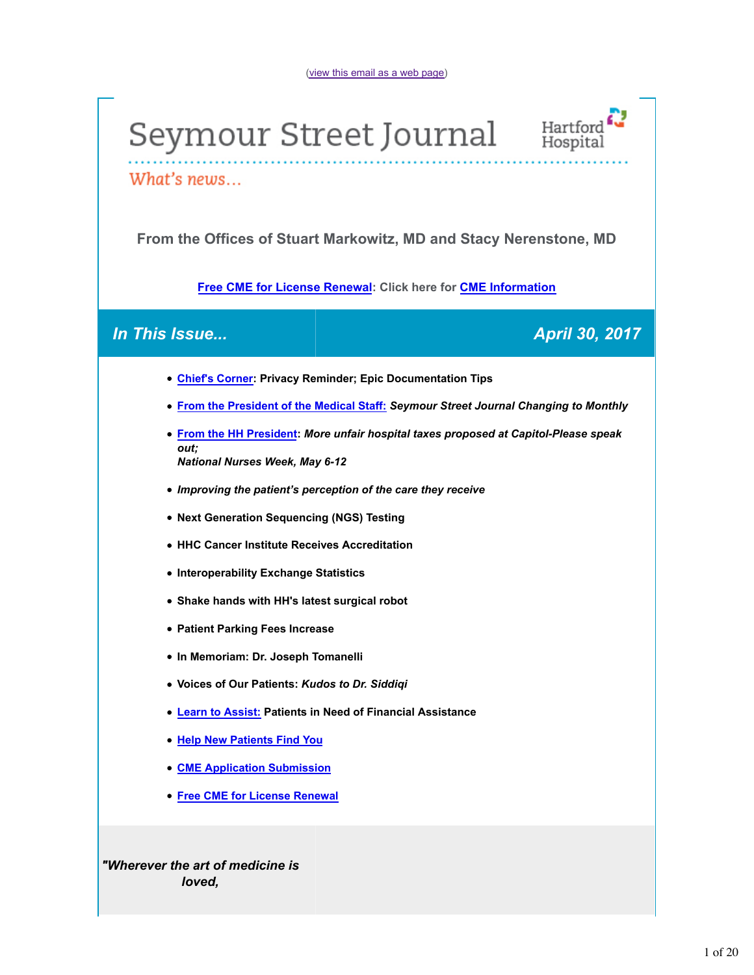# Seymour Street Journal Hartford



What's news...

**From the Offices of Stuart Markowitz, MD and Stacy Nerenstone, MD**

**Free CME for License Renewal: Click here for CME Information**

### *In This Issue... April 30, 2017*

- **Chief's Corner: Privacy Reminder; Epic Documentation Tips**
- **From the President of the Medical Staff:** *Seymour Street Journal Changing to Monthly*
- **From the HH President:** *More unfair hospital taxes proposed at Capitol-Please speak out; National Nurses Week, May 6-12*
- *Improving the patient's perception of the care they receive*
- **Next Generation Sequencing (NGS) Testing**
- **HHC Cancer Institute Receives Accreditation**
- **Interoperability Exchange Statistics**
- **Shake hands with HH's latest surgical robot**
- **Patient Parking Fees Increase**
- **In Memoriam: Dr. Joseph Tomanelli**
- **Voices of Our Patients:** *Kudos to Dr. Siddiqi*
- **Learn to Assist: Patients in Need of Financial Assistance**
- **Help New Patients Find You**
- **CME Application Submission**
- **Free CME for License Renewal**

*"Wherever the art of medicine is loved,*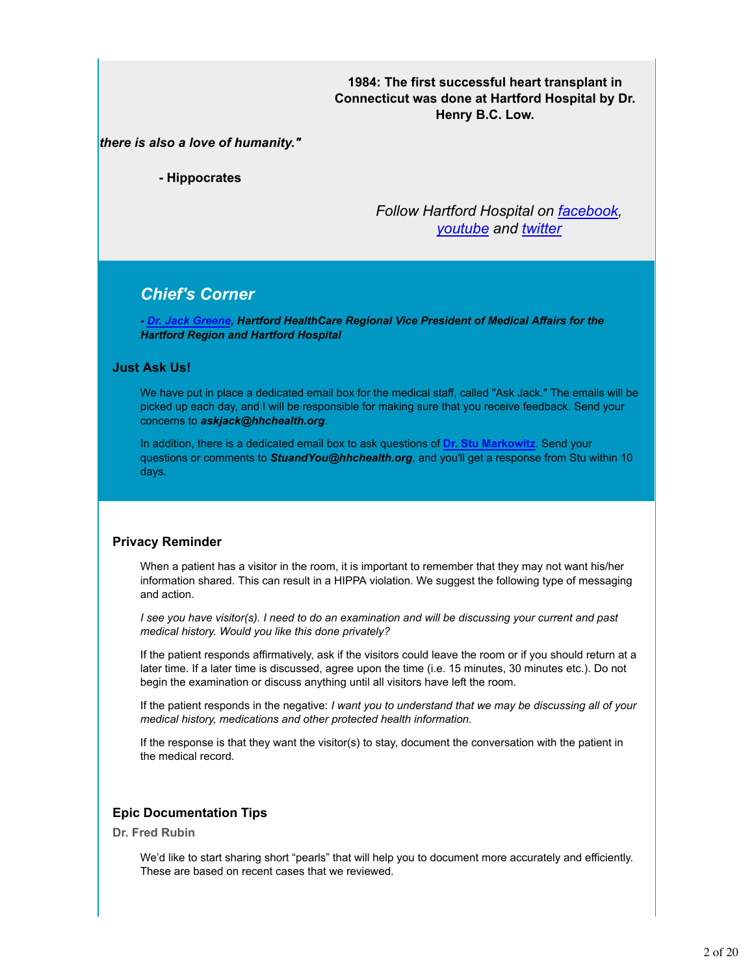### **1984: The first successful heart transplant in Connecticut was done at Hartford Hospital by Dr. Henry B.C. Low.**

### *there is also a love of humanity."*

**- Hippocrates**

*Follow Hartford Hospital on facebook, youtube and twitter*

### *Chief's Corner*

*- Dr. Jack Greene, Hartford HealthCare Regional Vice President of Medical Affairs for the Hartford Region and Hartford Hospital*

### **Just Ask Us!**

We have put in place a dedicated email box for the medical staff, called "Ask Jack." The emails will be picked up each day, and I will be responsible for making sure that you receive feedback. Send your concerns to *askjack@hhchealth.org*.

In addition, there is a dedicated email box to ask questions of **Dr. Stu Markowitz**. Send your questions or comments to *StuandYou@hhchealth.org*, and you'll get a response from Stu within 10 days.

### **Privacy Reminder**

When a patient has a visitor in the room, it is important to remember that they may not want his/her information shared. This can result in a HIPPA violation. We suggest the following type of messaging and action.

*I see you have visitor(s). I need to do an examination and will be discussing your current and past medical history. Would you like this done privately?*

If the patient responds affirmatively, ask if the visitors could leave the room or if you should return at a later time. If a later time is discussed, agree upon the time (i.e. 15 minutes, 30 minutes etc.). Do not begin the examination or discuss anything until all visitors have left the room.

If the patient responds in the negative: *I want you to understand that we may be discussing all of your medical history, medications and other protected health information.*

If the response is that they want the visitor(s) to stay, document the conversation with the patient in the medical record.

### **Epic Documentation Tips**

**Dr. Fred Rubin**

We'd like to start sharing short "pearls" that will help you to document more accurately and efficiently. These are based on recent cases that we reviewed.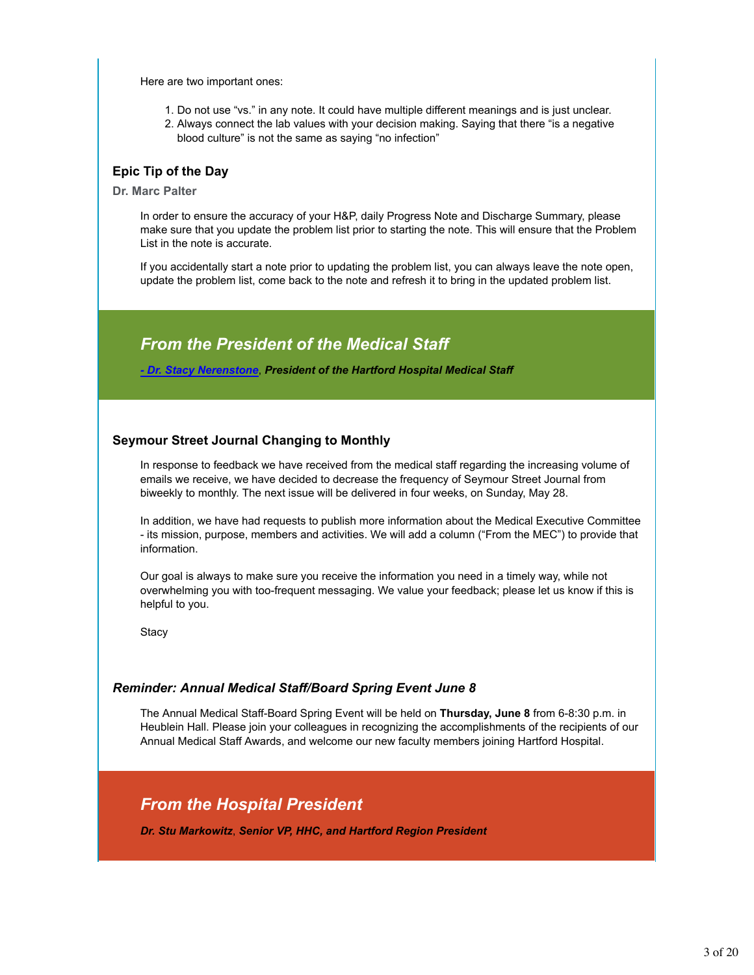Here are two important ones:

- 1. Do not use "vs." in any note. It could have multiple different meanings and is just unclear.
- 2. Always connect the lab values with your decision making. Saying that there "is a negative blood culture" is not the same as saying "no infection"

### **Epic Tip of the Day**

**Dr. Marc Palter**

In order to ensure the accuracy of your H&P, daily Progress Note and Discharge Summary, please make sure that you update the problem list prior to starting the note. This will ensure that the Problem List in the note is accurate.

If you accidentally start a note prior to updating the problem list, you can always leave the note open, update the problem list, come back to the note and refresh it to bring in the updated problem list.

### *From the President of the Medical Staff*

*- Dr. Stacy Nerenstone*, *President of the Hartford Hospital Medical Staff*

### **Seymour Street Journal Changing to Monthly**

In response to feedback we have received from the medical staff regarding the increasing volume of emails we receive, we have decided to decrease the frequency of Seymour Street Journal from biweekly to monthly. The next issue will be delivered in four weeks, on Sunday, May 28.

In addition, we have had requests to publish more information about the Medical Executive Committee - its mission, purpose, members and activities. We will add a column ("From the MEC") to provide that information.

Our goal is always to make sure you receive the information you need in a timely way, while not overwhelming you with too-frequent messaging. We value your feedback; please let us know if this is helpful to you.

**Stacy** 

### *Reminder: Annual Medical Staff/Board Spring Event June 8*

The Annual Medical Staff-Board Spring Event will be held on **Thursday, June 8** from 6-8:30 p.m. in Heublein Hall. Please join your colleagues in recognizing the accomplishments of the recipients of our Annual Medical Staff Awards, and welcome our new faculty members joining Hartford Hospital.

### *From the Hospital President*

*Dr. Stu Markowitz*, *Senior VP, HHC, and Hartford Region President*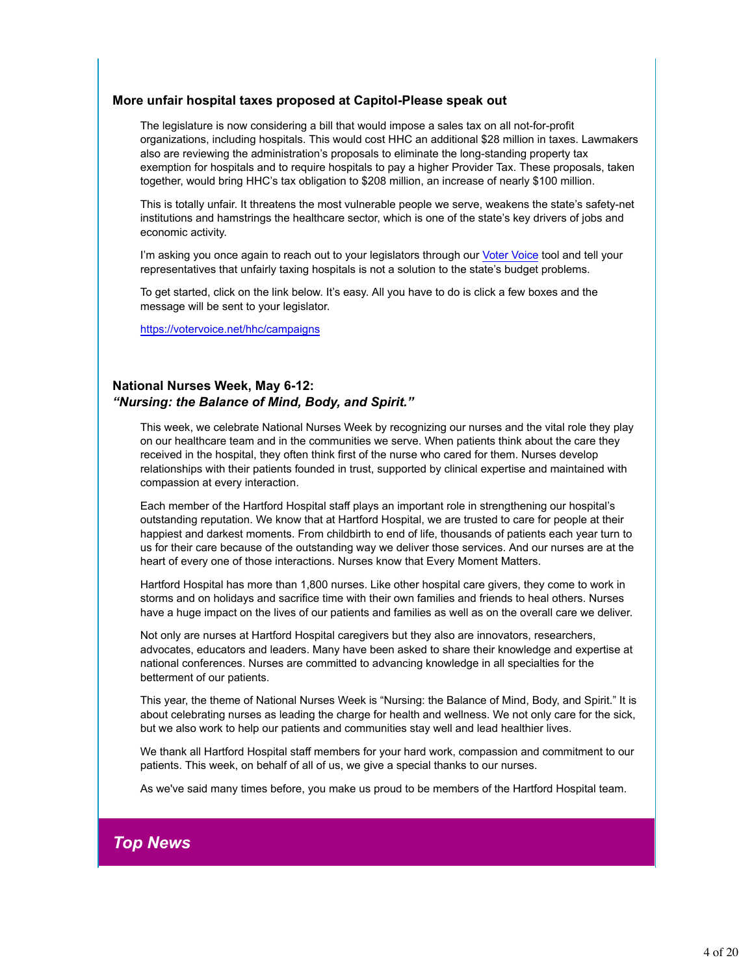### **More unfair hospital taxes proposed at Capitol-Please speak out**

The legislature is now considering a bill that would impose a sales tax on all not-for-profit organizations, including hospitals. This would cost HHC an additional \$28 million in taxes. Lawmakers also are reviewing the administration's proposals to eliminate the long-standing property tax exemption for hospitals and to require hospitals to pay a higher Provider Tax. These proposals, taken together, would bring HHC's tax obligation to \$208 million, an increase of nearly \$100 million.

This is totally unfair. It threatens the most vulnerable people we serve, weakens the state's safety-net institutions and hamstrings the healthcare sector, which is one of the state's key drivers of jobs and economic activity.

I'm asking you once again to reach out to your legislators through our Voter Voice tool and tell your representatives that unfairly taxing hospitals is not a solution to the state's budget problems.

To get started, click on the link below. It's easy. All you have to do is click a few boxes and the message will be sent to your legislator.

https://votervoice.net/hhc/campaigns

### **National Nurses Week, May 6-12:** *"Nursing: the Balance of Mind, Body, and Spirit."*

This week, we celebrate National Nurses Week by recognizing our nurses and the vital role they play on our healthcare team and in the communities we serve. When patients think about the care they received in the hospital, they often think first of the nurse who cared for them. Nurses develop relationships with their patients founded in trust, supported by clinical expertise and maintained with compassion at every interaction.

Each member of the Hartford Hospital staff plays an important role in strengthening our hospital's outstanding reputation. We know that at Hartford Hospital, we are trusted to care for people at their happiest and darkest moments. From childbirth to end of life, thousands of patients each year turn to us for their care because of the outstanding way we deliver those services. And our nurses are at the heart of every one of those interactions. Nurses know that Every Moment Matters.

Hartford Hospital has more than 1,800 nurses. Like other hospital care givers, they come to work in storms and on holidays and sacrifice time with their own families and friends to heal others. Nurses have a huge impact on the lives of our patients and families as well as on the overall care we deliver.

Not only are nurses at Hartford Hospital caregivers but they also are innovators, researchers, advocates, educators and leaders. Many have been asked to share their knowledge and expertise at national conferences. Nurses are committed to advancing knowledge in all specialties for the betterment of our patients.

This year, the theme of National Nurses Week is "Nursing: the Balance of Mind, Body, and Spirit." It is about celebrating nurses as leading the charge for health and wellness. We not only care for the sick, but we also work to help our patients and communities stay well and lead healthier lives.

We thank all Hartford Hospital staff members for your hard work, compassion and commitment to our patients. This week, on behalf of all of us, we give a special thanks to our nurses.

As we've said many times before, you make us proud to be members of the Hartford Hospital team.

## *Top News*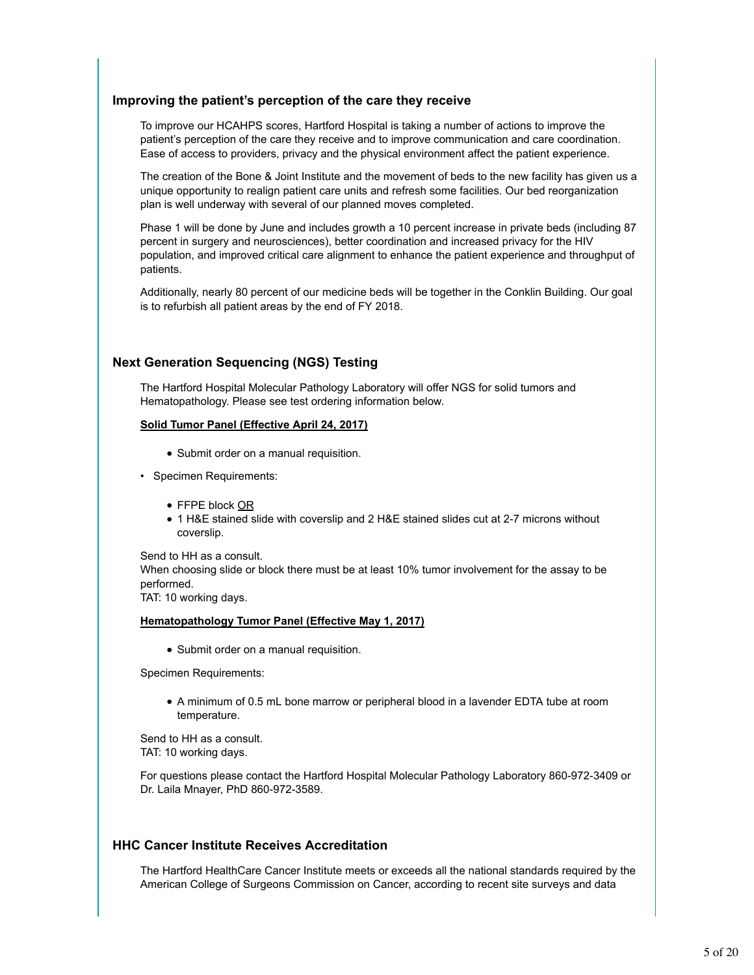### **Improving the patient's perception of the care they receive**

To improve our HCAHPS scores, Hartford Hospital is taking a number of actions to improve the patient's perception of the care they receive and to improve communication and care coordination. Ease of access to providers, privacy and the physical environment affect the patient experience.

The creation of the Bone & Joint Institute and the movement of beds to the new facility has given us a unique opportunity to realign patient care units and refresh some facilities. Our bed reorganization plan is well underway with several of our planned moves completed.

Phase 1 will be done by June and includes growth a 10 percent increase in private beds (including 87 percent in surgery and neurosciences), better coordination and increased privacy for the HIV population, and improved critical care alignment to enhance the patient experience and throughput of patients.

Additionally, nearly 80 percent of our medicine beds will be together in the Conklin Building. Our goal is to refurbish all patient areas by the end of FY 2018.

### **Next Generation Sequencing (NGS) Testing**

The Hartford Hospital Molecular Pathology Laboratory will offer NGS for solid tumors and Hematopathology. Please see test ordering information below.

#### **Solid Tumor Panel (Effective April 24, 2017)**

- Submit order on a manual requisition.
- Specimen Requirements:
	- FFPE block OR
	- 1 H&E stained slide with coverslip and 2 H&E stained slides cut at 2-7 microns without coverslip.

Send to HH as a consult. When choosing slide or block there must be at least 10% tumor involvement for the assay to be performed.

TAT: 10 working days.

#### **Hematopathology Tumor Panel (Effective May 1, 2017)**

• Submit order on a manual requisition.

Specimen Requirements:

A minimum of 0.5 mL bone marrow or peripheral blood in a lavender EDTA tube at room temperature.

Send to HH as a consult. TAT: 10 working days.

For questions please contact the Hartford Hospital Molecular Pathology Laboratory 860-972-3409 or Dr. Laila Mnayer, PhD 860-972-3589.

### **HHC Cancer Institute Receives Accreditation**

The Hartford HealthCare Cancer Institute meets or exceeds all the national standards required by the American College of Surgeons Commission on Cancer, according to recent site surveys and data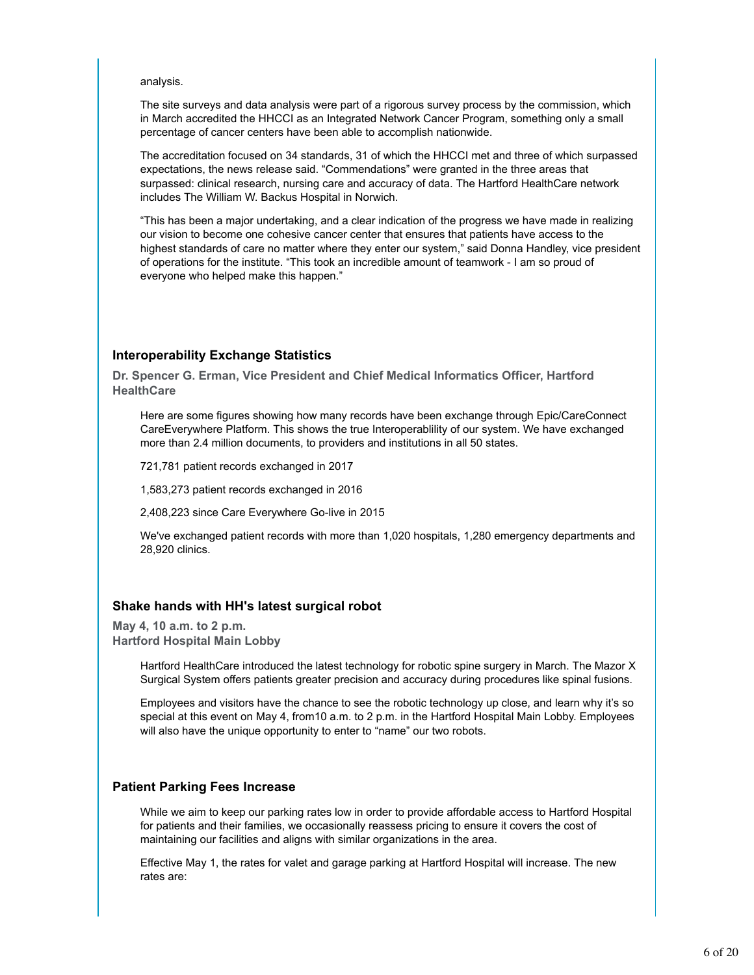analysis.

The site surveys and data analysis were part of a rigorous survey process by the commission, which in March accredited the HHCCI as an Integrated Network Cancer Program, something only a small percentage of cancer centers have been able to accomplish nationwide.

The accreditation focused on 34 standards, 31 of which the HHCCI met and three of which surpassed expectations, the news release said. "Commendations" were granted in the three areas that surpassed: clinical research, nursing care and accuracy of data. The Hartford HealthCare network includes The William W. Backus Hospital in Norwich.

"This has been a major undertaking, and a clear indication of the progress we have made in realizing our vision to become one cohesive cancer center that ensures that patients have access to the highest standards of care no matter where they enter our system," said Donna Handley, vice president of operations for the institute. "This took an incredible amount of teamwork - I am so proud of everyone who helped make this happen."

### **Interoperability Exchange Statistics**

**Dr. Spencer G. Erman, Vice President and Chief Medical Informatics Officer, Hartford HealthCare**

Here are some figures showing how many records have been exchange through Epic/CareConnect CareEverywhere Platform. This shows the true Interoperablility of our system. We have exchanged more than 2.4 million documents, to providers and institutions in all 50 states.

721,781 patient records exchanged in 2017

1,583,273 patient records exchanged in 2016

2,408,223 since Care Everywhere Go-live in 2015

We've exchanged patient records with more than 1,020 hospitals, 1,280 emergency departments and 28,920 clinics.

#### **Shake hands with HH's latest surgical robot**

**May 4, 10 a.m. to 2 p.m. Hartford Hospital Main Lobby**

> Hartford HealthCare introduced the latest technology for robotic spine surgery in March. The Mazor X Surgical System offers patients greater precision and accuracy during procedures like spinal fusions.

> Employees and visitors have the chance to see the robotic technology up close, and learn why it's so special at this event on May 4, from10 a.m. to 2 p.m. in the Hartford Hospital Main Lobby. Employees will also have the unique opportunity to enter to "name" our two robots.

### **Patient Parking Fees Increase**

While we aim to keep our parking rates low in order to provide affordable access to Hartford Hospital for patients and their families, we occasionally reassess pricing to ensure it covers the cost of maintaining our facilities and aligns with similar organizations in the area.

Effective May 1, the rates for valet and garage parking at Hartford Hospital will increase. The new rates are: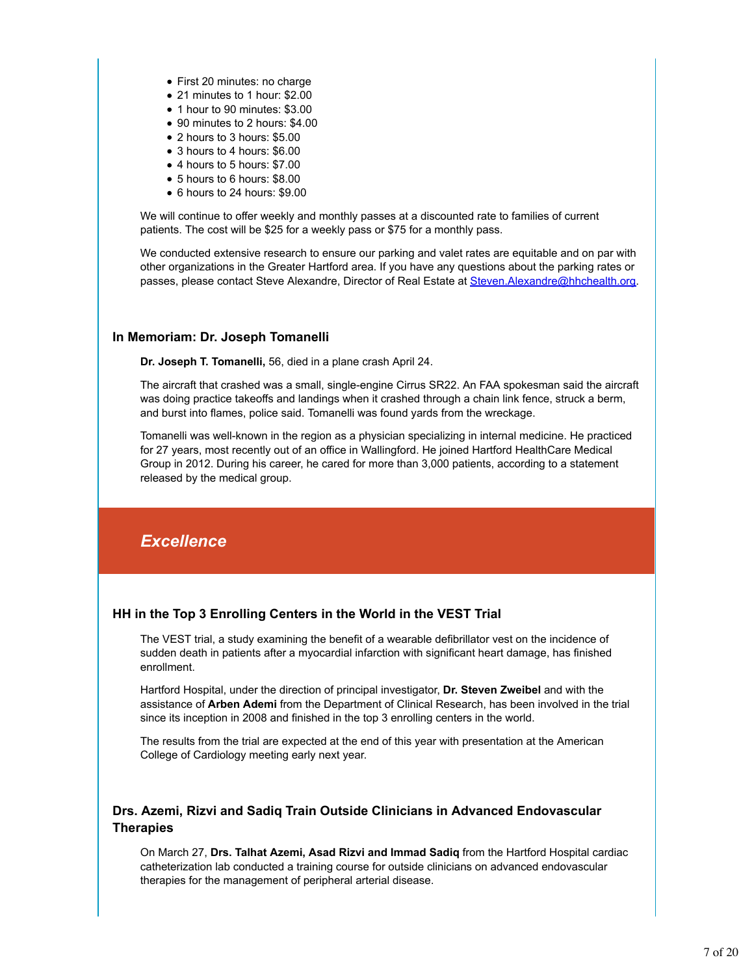- First 20 minutes: no charge
- 21 minutes to 1 hour: \$2.00
- 1 hour to 90 minutes: \$3.00
- 90 minutes to 2 hours: \$4.00
- 2 hours to 3 hours: \$5.00
- 3 hours to 4 hours: \$6.00
- 4 hours to 5 hours: \$7.00
- 5 hours to 6 hours: \$8.00
- 6 hours to 24 hours: \$9.00

We will continue to offer weekly and monthly passes at a discounted rate to families of current patients. The cost will be \$25 for a weekly pass or \$75 for a monthly pass.

We conducted extensive research to ensure our parking and valet rates are equitable and on par with other organizations in the Greater Hartford area. If you have any questions about the parking rates or passes, please contact Steve Alexandre, Director of Real Estate at Steven.Alexandre@hhchealth.org.

### **In Memoriam: Dr. Joseph Tomanelli**

**Dr. Joseph T. Tomanelli,** 56, died in a plane crash April 24.

The aircraft that crashed was a small, single-engine Cirrus SR22. An FAA spokesman said the aircraft was doing practice takeoffs and landings when it crashed through a chain link fence, struck a berm, and burst into flames, police said. Tomanelli was found yards from the wreckage.

Tomanelli was well-known in the region as a physician specializing in internal medicine. He practiced for 27 years, most recently out of an office in Wallingford. He joined Hartford HealthCare Medical Group in 2012. During his career, he cared for more than 3,000 patients, according to a statement released by the medical group.

## *Excellence*

### **HH in the Top 3 Enrolling Centers in the World in the VEST Trial**

The VEST trial, a study examining the benefit of a wearable defibrillator vest on the incidence of sudden death in patients after a myocardial infarction with significant heart damage, has finished enrollment.

Hartford Hospital, under the direction of principal investigator, **Dr. Steven Zweibel** and with the assistance of **Arben Ademi** from the Department of Clinical Research, has been involved in the trial since its inception in 2008 and finished in the top 3 enrolling centers in the world.

The results from the trial are expected at the end of this year with presentation at the American College of Cardiology meeting early next year.

### **Drs. Azemi, Rizvi and Sadiq Train Outside Clinicians in Advanced Endovascular Therapies**

On March 27, **Drs. Talhat Azemi, Asad Rizvi and Immad Sadiq** from the Hartford Hospital cardiac catheterization lab conducted a training course for outside clinicians on advanced endovascular therapies for the management of peripheral arterial disease.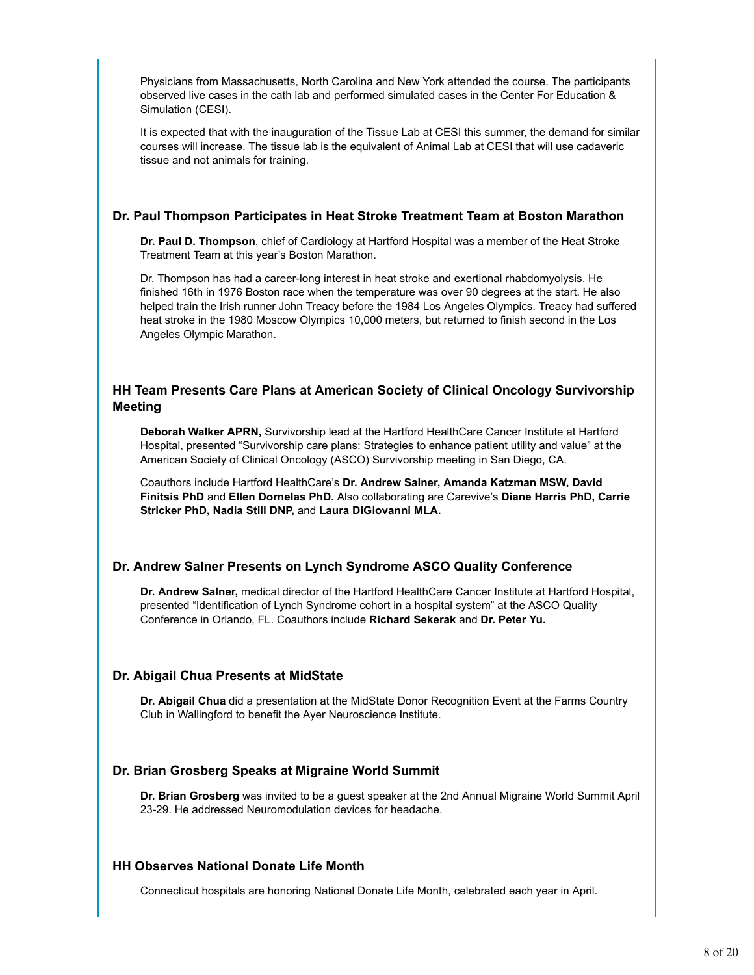Physicians from Massachusetts, North Carolina and New York attended the course. The participants observed live cases in the cath lab and performed simulated cases in the Center For Education & Simulation (CESI).

It is expected that with the inauguration of the Tissue Lab at CESI this summer, the demand for similar courses will increase. The tissue lab is the equivalent of Animal Lab at CESI that will use cadaveric tissue and not animals for training.

### **Dr. Paul Thompson Participates in Heat Stroke Treatment Team at Boston Marathon**

**Dr. Paul D. Thompson**, chief of Cardiology at Hartford Hospital was a member of the Heat Stroke Treatment Team at this year's Boston Marathon.

Dr. Thompson has had a career-long interest in heat stroke and exertional rhabdomyolysis. He finished 16th in 1976 Boston race when the temperature was over 90 degrees at the start. He also helped train the Irish runner John Treacy before the 1984 Los Angeles Olympics. Treacy had suffered heat stroke in the 1980 Moscow Olympics 10,000 meters, but returned to finish second in the Los Angeles Olympic Marathon.

### **HH Team Presents Care Plans at American Society of Clinical Oncology Survivorship Meeting**

**Deborah Walker APRN,** Survivorship lead at the Hartford HealthCare Cancer Institute at Hartford Hospital, presented "Survivorship care plans: Strategies to enhance patient utility and value" at the American Society of Clinical Oncology (ASCO) Survivorship meeting in San Diego, CA.

Coauthors include Hartford HealthCare's **Dr. Andrew Salner, Amanda Katzman MSW, David Finitsis PhD** and **Ellen Dornelas PhD.** Also collaborating are Carevive's **Diane Harris PhD, Carrie Stricker PhD, Nadia Still DNP,** and **Laura DiGiovanni MLA.**

### **Dr. Andrew Salner Presents on Lynch Syndrome ASCO Quality Conference**

**Dr. Andrew Salner,** medical director of the Hartford HealthCare Cancer Institute at Hartford Hospital, presented "Identification of Lynch Syndrome cohort in a hospital system" at the ASCO Quality Conference in Orlando, FL. Coauthors include **Richard Sekerak** and **Dr. Peter Yu.**

### **Dr. Abigail Chua Presents at MidState**

**Dr. Abigail Chua** did a presentation at the MidState Donor Recognition Event at the Farms Country Club in Wallingford to benefit the Ayer Neuroscience Institute.

### **Dr. Brian Grosberg Speaks at Migraine World Summit**

**Dr. Brian Grosberg** was invited to be a guest speaker at the 2nd Annual Migraine World Summit April 23-29. He addressed Neuromodulation devices for headache.

### **HH Observes National Donate Life Month**

Connecticut hospitals are honoring National Donate Life Month, celebrated each year in April.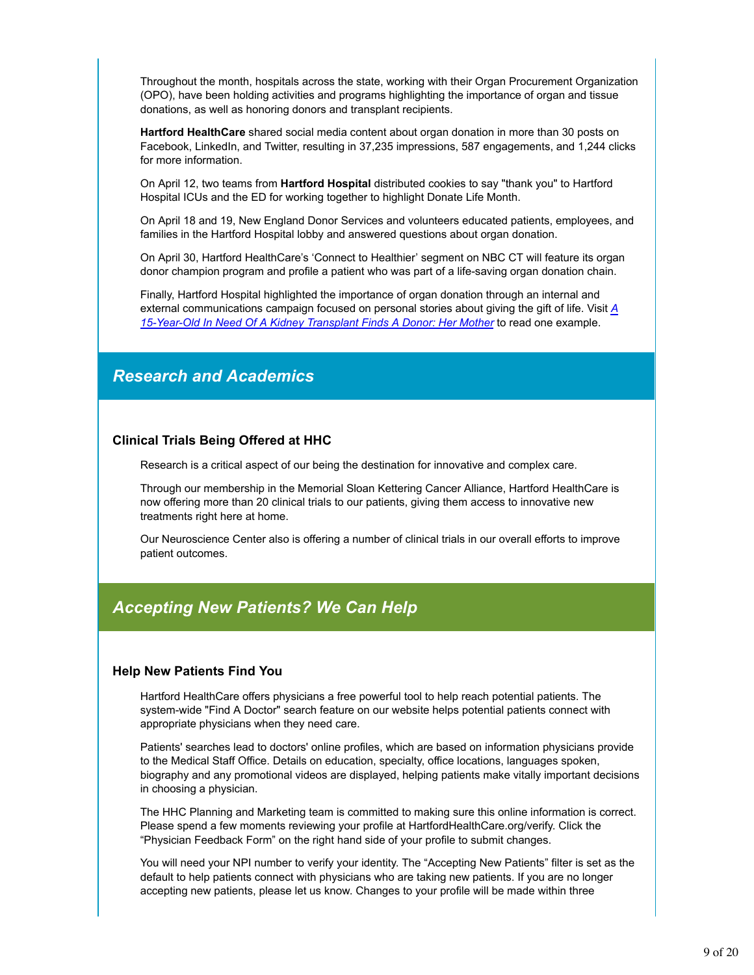Throughout the month, hospitals across the state, working with their Organ Procurement Organization (OPO), have been holding activities and programs highlighting the importance of organ and tissue donations, as well as honoring donors and transplant recipients.

**Hartford HealthCare** shared social media content about organ donation in more than 30 posts on Facebook, LinkedIn, and Twitter, resulting in 37,235 impressions, 587 engagements, and 1,244 clicks for more information.

On April 12, two teams from **Hartford Hospital** distributed cookies to say "thank you" to Hartford Hospital ICUs and the ED for working together to highlight Donate Life Month.

On April 18 and 19, New England Donor Services and volunteers educated patients, employees, and families in the Hartford Hospital lobby and answered questions about organ donation.

On April 30, Hartford HealthCare's 'Connect to Healthier' segment on NBC CT will feature its organ donor champion program and profile a patient who was part of a life-saving organ donation chain.

Finally, Hartford Hospital highlighted the importance of organ donation through an internal and external communications campaign focused on personal stories about giving the gift of life. Visit *A 15-Year-Old In Need Of A Kidney Transplant Finds A Donor: Her Mother* to read one example.

### *Research and Academics*

### **Clinical Trials Being Offered at HHC**

Research is a critical aspect of our being the destination for innovative and complex care.

Through our membership in the Memorial Sloan Kettering Cancer Alliance, Hartford HealthCare is now offering more than 20 clinical trials to our patients, giving them access to innovative new treatments right here at home.

Our Neuroscience Center also is offering a number of clinical trials in our overall efforts to improve patient outcomes.

### *Accepting New Patients? We Can Help*

#### **Help New Patients Find You**

Hartford HealthCare offers physicians a free powerful tool to help reach potential patients. The system-wide "Find A Doctor" search feature on our website helps potential patients connect with appropriate physicians when they need care.

Patients' searches lead to doctors' online profiles, which are based on information physicians provide to the Medical Staff Office. Details on education, specialty, office locations, languages spoken, biography and any promotional videos are displayed, helping patients make vitally important decisions in choosing a physician.

The HHC Planning and Marketing team is committed to making sure this online information is correct. Please spend a few moments reviewing your profile at HartfordHealthCare.org/verify. Click the "Physician Feedback Form" on the right hand side of your profile to submit changes.

You will need your NPI number to verify your identity. The "Accepting New Patients" filter is set as the default to help patients connect with physicians who are taking new patients. If you are no longer accepting new patients, please let us know. Changes to your profile will be made within three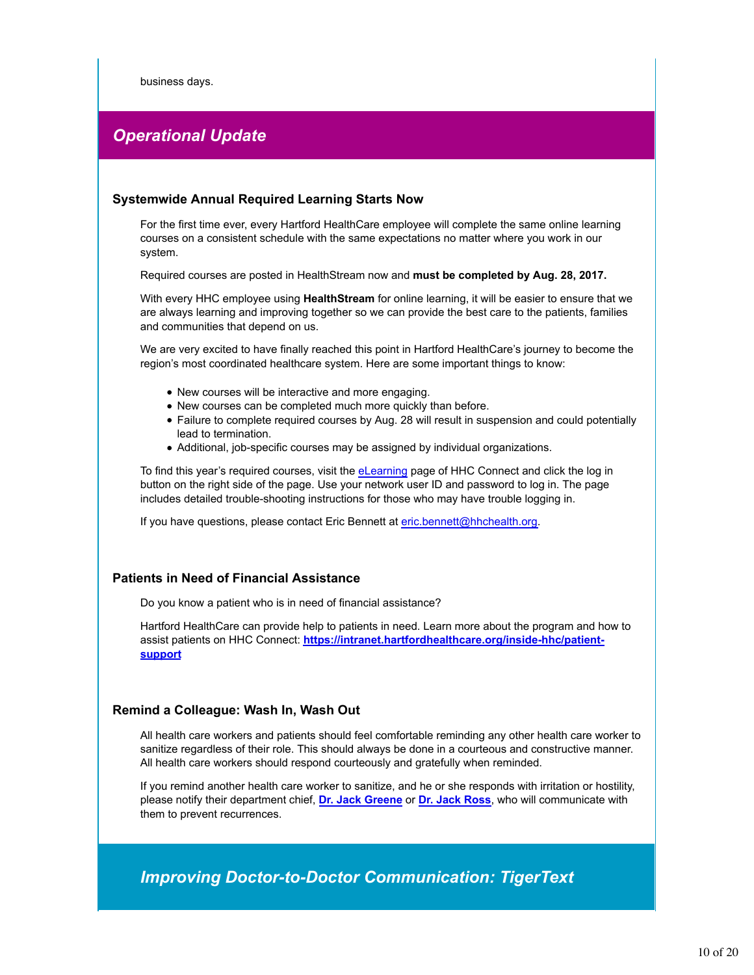business days.

### *Operational Update*

### **Systemwide Annual Required Learning Starts Now**

For the first time ever, every Hartford HealthCare employee will complete the same online learning courses on a consistent schedule with the same expectations no matter where you work in our system.

Required courses are posted in HealthStream now and **must be completed by Aug. 28, 2017.**

With every HHC employee using **HealthStream** for online learning, it will be easier to ensure that we are always learning and improving together so we can provide the best care to the patients, families and communities that depend on us.

We are very excited to have finally reached this point in Hartford HealthCare's journey to become the region's most coordinated healthcare system. Here are some important things to know:

- New courses will be interactive and more engaging.
- New courses can be completed much more quickly than before.
- Failure to complete required courses by Aug. 28 will result in suspension and could potentially lead to termination.
- Additional, job-specific courses may be assigned by individual organizations.

To find this year's required courses, visit the eLearning page of HHC Connect and click the log in button on the right side of the page. Use your network user ID and password to log in. The page includes detailed trouble-shooting instructions for those who may have trouble logging in.

If you have questions, please contact Eric Bennett at eric.bennett@hhchealth.org.

### **Patients in Need of Financial Assistance**

Do you know a patient who is in need of financial assistance?

Hartford HealthCare can provide help to patients in need. Learn more about the program and how to assist patients on HHC Connect: **https://intranet.hartfordhealthcare.org/inside-hhc/patientsupport**

### **Remind a Colleague: Wash In, Wash Out**

All health care workers and patients should feel comfortable reminding any other health care worker to sanitize regardless of their role. This should always be done in a courteous and constructive manner. All health care workers should respond courteously and gratefully when reminded.

If you remind another health care worker to sanitize, and he or she responds with irritation or hostility, please notify their department chief, **Dr. Jack Greene** or **Dr. Jack Ross**, who will communicate with them to prevent recurrences.

*Improving Doctor-to-Doctor Communication: TigerText*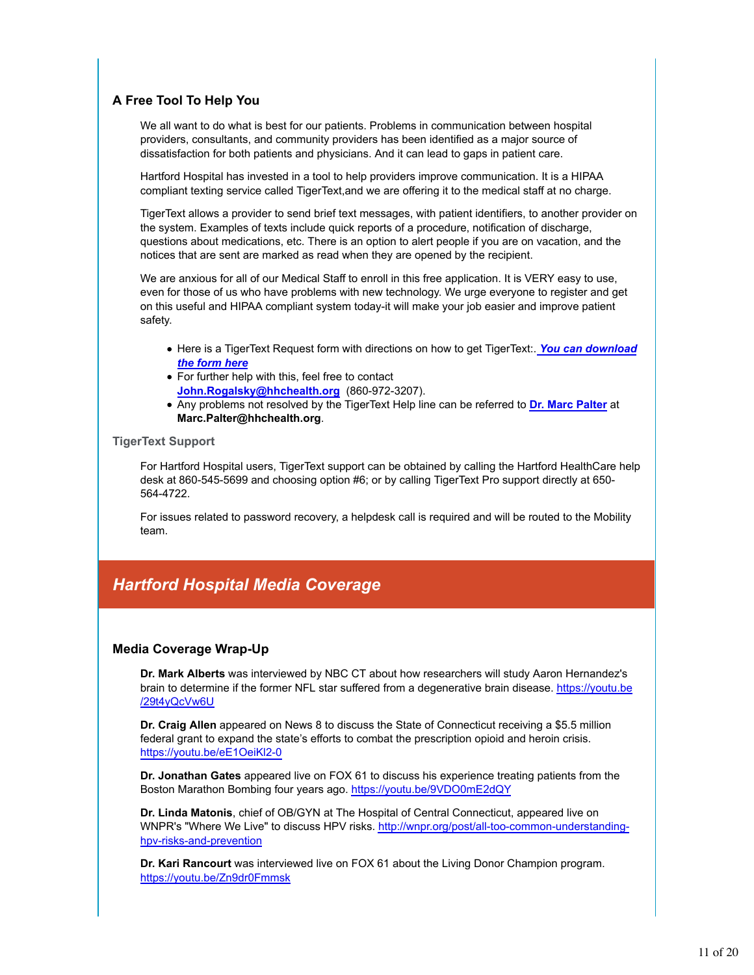### **A Free Tool To Help You**

We all want to do what is best for our patients. Problems in communication between hospital providers, consultants, and community providers has been identified as a major source of dissatisfaction for both patients and physicians. And it can lead to gaps in patient care.

Hartford Hospital has invested in a tool to help providers improve communication. It is a HIPAA compliant texting service called TigerText,and we are offering it to the medical staff at no charge.

TigerText allows a provider to send brief text messages, with patient identifiers, to another provider on the system. Examples of texts include quick reports of a procedure, notification of discharge, questions about medications, etc. There is an option to alert people if you are on vacation, and the notices that are sent are marked as read when they are opened by the recipient.

We are anxious for all of our Medical Staff to enroll in this free application. It is VERY easy to use, even for those of us who have problems with new technology. We urge everyone to register and get on this useful and HIPAA compliant system today-it will make your job easier and improve patient safety.

- Here is a TigerText Request form with directions on how to get TigerText:. You can download *the form here*
- For further help with this, feel free to contact **John.Rogalsky@hhchealth.org** (860-972-3207).
- Any problems not resolved by the TigerText Help line can be referred to **Dr. Marc Palter** at **Marc.Palter@hhchealth.org**.

### **TigerText Support**

For Hartford Hospital users, TigerText support can be obtained by calling the Hartford HealthCare help desk at 860-545-5699 and choosing option #6; or by calling TigerText Pro support directly at 650- 564-4722.

For issues related to password recovery, a helpdesk call is required and will be routed to the Mobility team.

### *Hartford Hospital Media Coverage*

### **Media Coverage Wrap-Up**

**Dr. Mark Alberts** was interviewed by NBC CT about how researchers will study Aaron Hernandez's brain to determine if the former NFL star suffered from a degenerative brain disease. https://youtu.be /29t4yQcVw6U

**Dr. Craig Allen** appeared on News 8 to discuss the State of Connecticut receiving a \$5.5 million federal grant to expand the state's efforts to combat the prescription opioid and heroin crisis. https://youtu.be/eE1OeiKl2-0

**Dr. Jonathan Gates** appeared live on FOX 61 to discuss his experience treating patients from the Boston Marathon Bombing four years ago. https://youtu.be/9VDO0mE2dQY

**Dr. Linda Matonis**, chief of OB/GYN at The Hospital of Central Connecticut, appeared live on WNPR's "Where We Live" to discuss HPV risks. http://wnpr.org/post/all-too-common-understandinghpv-risks-and-prevention

**Dr. Kari Rancourt** was interviewed live on FOX 61 about the Living Donor Champion program. https://youtu.be/Zn9dr0Fmmsk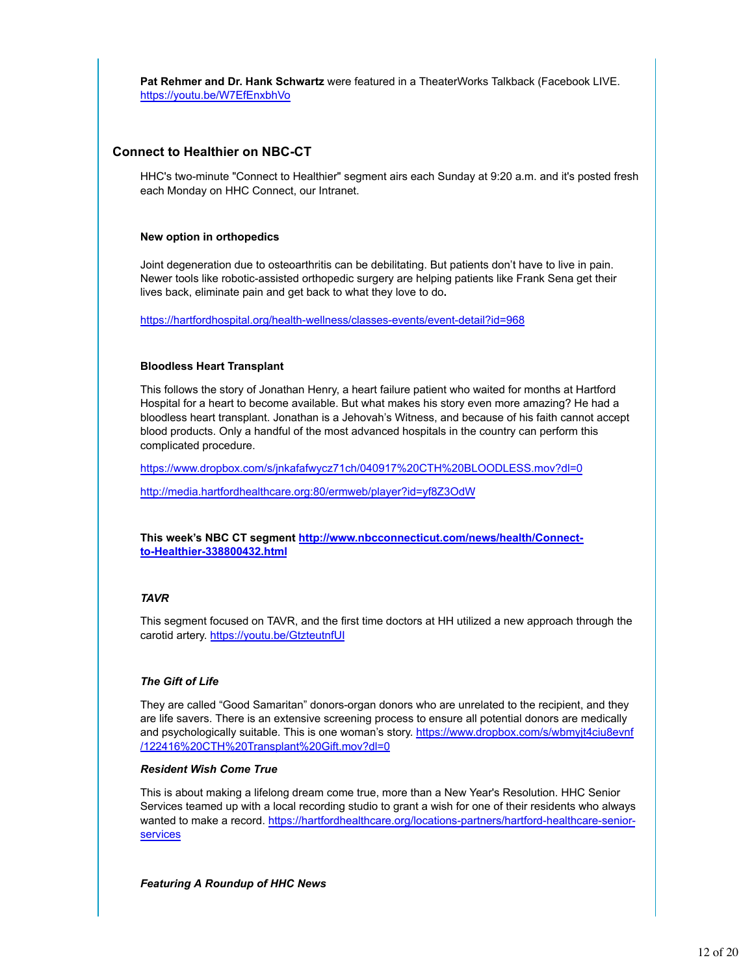**Pat Rehmer and Dr. Hank Schwartz** were featured in a TheaterWorks Talkback (Facebook LIVE. https://youtu.be/W7EfEnxbhVo

### **Connect to Healthier on NBC-CT**

HHC's two-minute "Connect to Healthier" segment airs each Sunday at 9:20 a.m. and it's posted fresh each Monday on HHC Connect, our Intranet.

#### **New option in orthopedics**

Joint degeneration due to osteoarthritis can be debilitating. But patients don't have to live in pain. Newer tools like robotic-assisted orthopedic surgery are helping patients like Frank Sena get their lives back, eliminate pain and get back to what they love to do**.**

https://hartfordhospital.org/health-wellness/classes-events/event-detail?id=968

#### **Bloodless Heart Transplant**

This follows the story of Jonathan Henry, a heart failure patient who waited for months at Hartford Hospital for a heart to become available. But what makes his story even more amazing? He had a bloodless heart transplant. Jonathan is a Jehovah's Witness, and because of his faith cannot accept blood products. Only a handful of the most advanced hospitals in the country can perform this complicated procedure.

https://www.dropbox.com/s/jnkafafwycz71ch/040917%20CTH%20BLOODLESS.mov?dl=0

http://media.hartfordhealthcare.org:80/ermweb/player?id=yf8Z3OdW

**This week's NBC CT segment http://www.nbcconnecticut.com/news/health/Connectto-Healthier-338800432.html**

### *TAVR*

This segment focused on TAVR, and the first time doctors at HH utilized a new approach through the carotid artery. https://youtu.be/GtzteutnfUI

### *The Gift of Life*

They are called "Good Samaritan" donors-organ donors who are unrelated to the recipient, and they are life savers. There is an extensive screening process to ensure all potential donors are medically and psychologically suitable. This is one woman's story. https://www.dropbox.com/s/wbmyjt4ciu8evnf /122416%20CTH%20Transplant%20Gift.mov?dl=0

### *Resident Wish Come True*

This is about making a lifelong dream come true, more than a New Year's Resolution. HHC Senior Services teamed up with a local recording studio to grant a wish for one of their residents who always wanted to make a record. https://hartfordhealthcare.org/locations-partners/hartford-healthcare-seniorservices

#### *Featuring A Roundup of HHC News*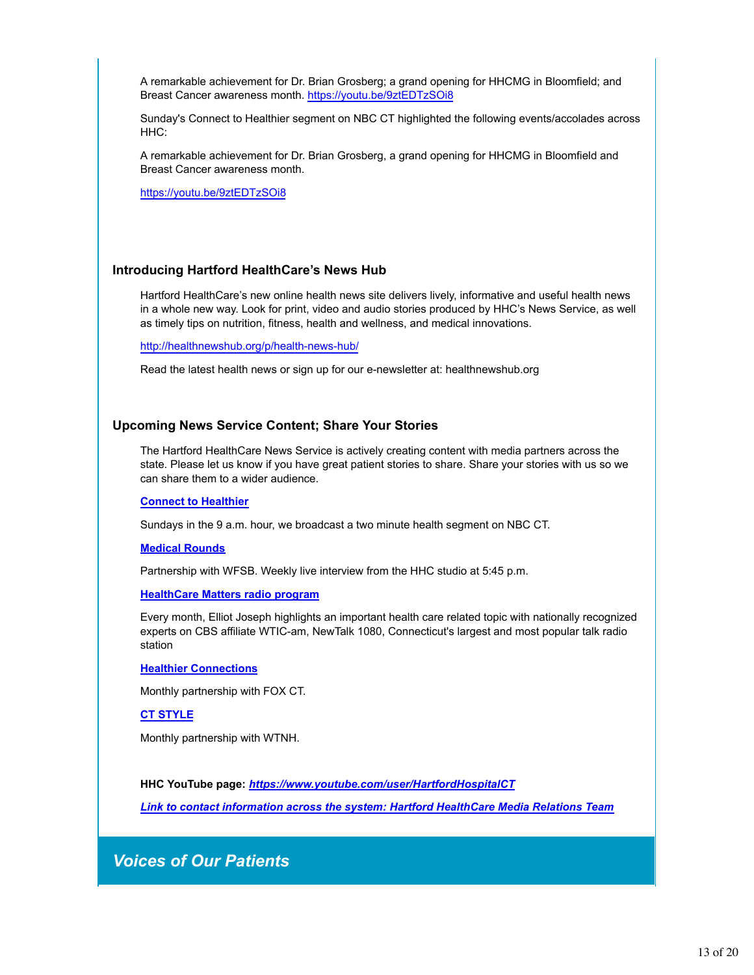A remarkable achievement for Dr. Brian Grosberg; a grand opening for HHCMG in Bloomfield; and Breast Cancer awareness month. https://youtu.be/9ztEDTzSOi8

Sunday's Connect to Healthier segment on NBC CT highlighted the following events/accolades across HHC:

A remarkable achievement for Dr. Brian Grosberg, a grand opening for HHCMG in Bloomfield and Breast Cancer awareness month.

https://youtu.be/9ztEDTzSOi8

### **Introducing Hartford HealthCare's News Hub**

Hartford HealthCare's new online health news site delivers lively, informative and useful health news in a whole new way. Look for print, video and audio stories produced by HHC's News Service, as well as timely tips on nutrition, fitness, health and wellness, and medical innovations.

http://healthnewshub.org/p/health-news-hub/

Read the latest health news or sign up for our e-newsletter at: healthnewshub.org

#### **Upcoming News Service Content; Share Your Stories**

The Hartford HealthCare News Service is actively creating content with media partners across the state. Please let us know if you have great patient stories to share. Share your stories with us so we can share them to a wider audience.

#### **Connect to Healthier**

Sundays in the 9 a.m. hour, we broadcast a two minute health segment on NBC CT.

#### **Medical Rounds**

Partnership with WFSB. Weekly live interview from the HHC studio at 5:45 p.m.

#### **HealthCare Matters radio program**

Every month, Elliot Joseph highlights an important health care related topic with nationally recognized experts on CBS affiliate WTIC-am, NewTalk 1080, Connecticut's largest and most popular talk radio station

#### **Healthier Connections**

Monthly partnership with FOX CT.

#### **CT STYLE**

Monthly partnership with WTNH.

**HHC YouTube page:** *https://www.youtube.com/user/HartfordHospitalCT*

*Link to contact information across the system: Hartford HealthCare Media Relations Team*

### *Voices of Our Patients*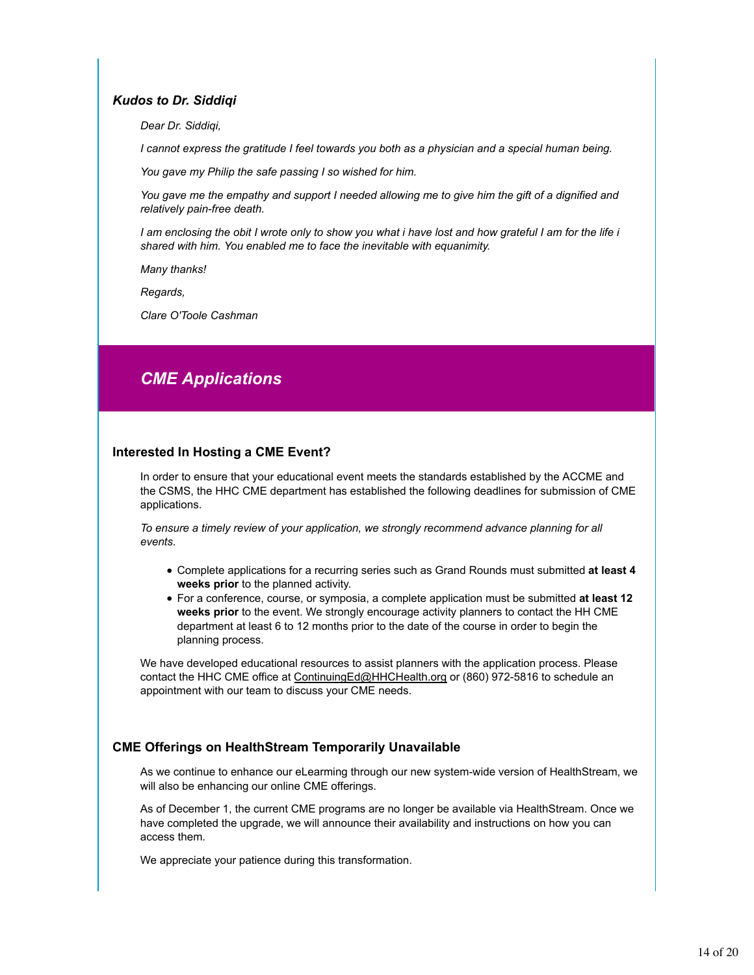### *Kudos to Dr. Siddiqi*

*Dear Dr. Siddiqi,*

*I cannot express the gratitude I feel towards you both as a physician and a special human being.*

*You gave my Philip the safe passing I so wished for him.*

*You gave me the empathy and support I needed allowing me to give him the gift of a dignified and relatively pain-free death.*

*I am enclosing the obit I wrote only to show you what i have lost and how grateful I am for the life i shared with him. You enabled me to face the inevitable with equanimity.*

*Many thanks!*

*Regards,*

*Clare O'Toole Cashman*

## *CME Applications*

### **Interested In Hosting a CME Event?**

In order to ensure that your educational event meets the standards established by the ACCME and the CSMS, the HHC CME department has established the following deadlines for submission of CME applications.

*To ensure a timely review of your application, we strongly recommend advance planning for all events.* 

- Complete applications for a recurring series such as Grand Rounds must submitted **at least 4 weeks prior** to the planned activity.
- For a conference, course, or symposia, a complete application must be submitted **at least 12 weeks prior** to the event. We strongly encourage activity planners to contact the HH CME department at least 6 to 12 months prior to the date of the course in order to begin the planning process.

We have developed educational resources to assist planners with the application process. Please contact the HHC CME office at ContinuingEd@HHCHealth.org or (860) 972-5816 to schedule an appointment with our team to discuss your CME needs.

### **CME Offerings on HealthStream Temporarily Unavailable**

As we continue to enhance our eLearming through our new system-wide version of HealthStream, we will also be enhancing our online CME offerings.

As of December 1, the current CME programs are no longer be available via HealthStream. Once we have completed the upgrade, we will announce their availability and instructions on how you can access them.

We appreciate your patience during this transformation.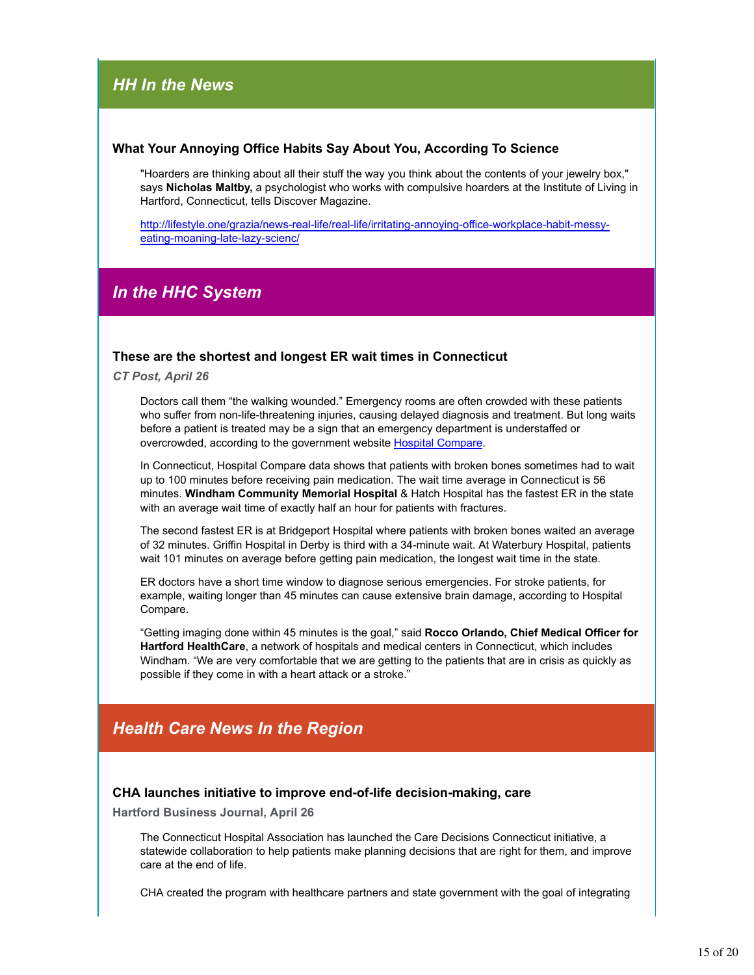### *HH In the News*

### **What Your Annoying Office Habits Say About You, According To Science**

"Hoarders are thinking about all their stuff the way you think about the contents of your jewelry box," says **Nicholas Maltby,** a psychologist who works with compulsive hoarders at the Institute of Living in Hartford, Connecticut, tells Discover Magazine.

http://lifestyle.one/grazia/news-real-life/real-life/irritating-annoying-office-workplace-habit-messyeating-moaning-late-lazy-scienc/

### *In the HHC System*

### **These are the shortest and longest ER wait times in Connecticut**

*CT Post, April 26*

Doctors call them "the walking wounded." Emergency rooms are often crowded with these patients who suffer from non-life-threatening injuries, causing delayed diagnosis and treatment. But long waits before a patient is treated may be a sign that an emergency department is understaffed or overcrowded, according to the government website Hospital Compare.

In Connecticut, Hospital Compare data shows that patients with broken bones sometimes had to wait up to 100 minutes before receiving pain medication. The wait time average in Connecticut is 56 minutes. **Windham Community Memorial Hospital** & Hatch Hospital has the fastest ER in the state with an average wait time of exactly half an hour for patients with fractures.

The second fastest ER is at Bridgeport Hospital where patients with broken bones waited an average of 32 minutes. Griffin Hospital in Derby is third with a 34-minute wait. At Waterbury Hospital, patients wait 101 minutes on average before getting pain medication, the longest wait time in the state.

ER doctors have a short time window to diagnose serious emergencies. For stroke patients, for example, waiting longer than 45 minutes can cause extensive brain damage, according to Hospital Compare.

"Getting imaging done within 45 minutes is the goal," said **Rocco Orlando, Chief Medical Officer for Hartford HealthCare**, a network of hospitals and medical centers in Connecticut, which includes Windham. "We are very comfortable that we are getting to the patients that are in crisis as quickly as possible if they come in with a heart attack or a stroke."

### *Health Care News In the Region*

### **CHA launches initiative to improve end-of-life decision-making, care**

**Hartford Business Journal, April 26**

The Connecticut Hospital Association has launched the Care Decisions Connecticut initiative, a statewide collaboration to help patients make planning decisions that are right for them, and improve care at the end of life.

CHA created the program with healthcare partners and state government with the goal of integrating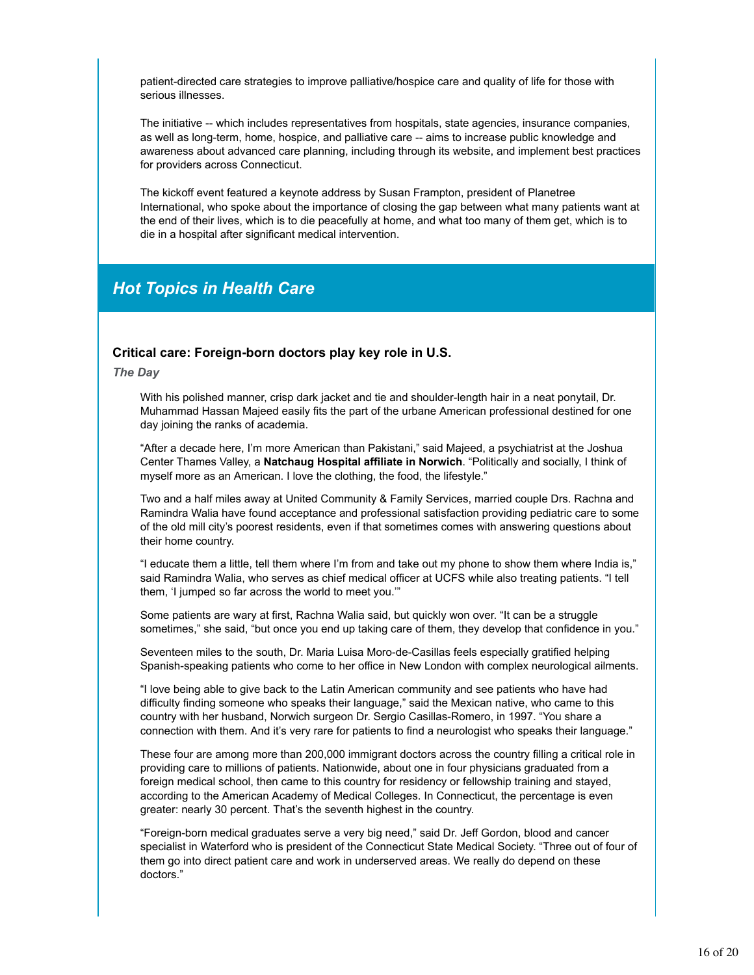patient-directed care strategies to improve palliative/hospice care and quality of life for those with serious illnesses.

The initiative -- which includes representatives from hospitals, state agencies, insurance companies, as well as long-term, home, hospice, and palliative care -- aims to increase public knowledge and awareness about advanced care planning, including through its website, and implement best practices for providers across Connecticut.

The kickoff event featured a keynote address by Susan Frampton, president of Planetree International, who spoke about the importance of closing the gap between what many patients want at the end of their lives, which is to die peacefully at home, and what too many of them get, which is to die in a hospital after significant medical intervention.

### *Hot Topics in Health Care*

### **Critical care: Foreign-born doctors play key role in U.S.**

*The Day*

With his polished manner, crisp dark jacket and tie and shoulder-length hair in a neat ponytail, Dr. Muhammad Hassan Majeed easily fits the part of the urbane American professional destined for one day joining the ranks of academia.

"After a decade here, I'm more American than Pakistani," said Majeed, a psychiatrist at the Joshua Center Thames Valley, a **Natchaug Hospital affiliate in Norwich**. "Politically and socially, I think of myself more as an American. I love the clothing, the food, the lifestyle."

Two and a half miles away at United Community & Family Services, married couple Drs. Rachna and Ramindra Walia have found acceptance and professional satisfaction providing pediatric care to some of the old mill city's poorest residents, even if that sometimes comes with answering questions about their home country.

"I educate them a little, tell them where I'm from and take out my phone to show them where India is," said Ramindra Walia, who serves as chief medical officer at UCFS while also treating patients. "I tell them, 'I jumped so far across the world to meet you.'"

Some patients are wary at first, Rachna Walia said, but quickly won over. "It can be a struggle sometimes," she said, "but once you end up taking care of them, they develop that confidence in you."

Seventeen miles to the south, Dr. Maria Luisa Moro-de-Casillas feels especially gratified helping Spanish-speaking patients who come to her office in New London with complex neurological ailments.

"I love being able to give back to the Latin American community and see patients who have had difficulty finding someone who speaks their language," said the Mexican native, who came to this country with her husband, Norwich surgeon Dr. Sergio Casillas-Romero, in 1997. "You share a connection with them. And it's very rare for patients to find a neurologist who speaks their language."

These four are among more than 200,000 immigrant doctors across the country filling a critical role in providing care to millions of patients. Nationwide, about one in four physicians graduated from a foreign medical school, then came to this country for residency or fellowship training and stayed, according to the American Academy of Medical Colleges. In Connecticut, the percentage is even greater: nearly 30 percent. That's the seventh highest in the country.

"Foreign-born medical graduates serve a very big need," said Dr. Jeff Gordon, blood and cancer specialist in Waterford who is president of the Connecticut State Medical Society. "Three out of four of them go into direct patient care and work in underserved areas. We really do depend on these doctors."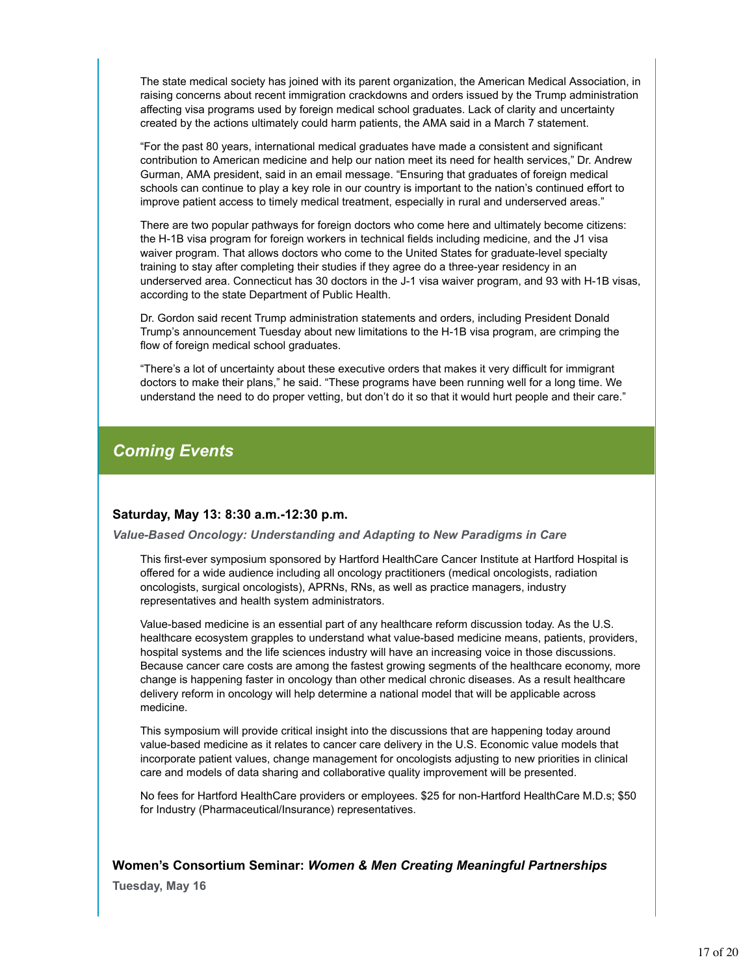The state medical society has joined with its parent organization, the American Medical Association, in raising concerns about recent immigration crackdowns and orders issued by the Trump administration affecting visa programs used by foreign medical school graduates. Lack of clarity and uncertainty created by the actions ultimately could harm patients, the AMA said in a March 7 statement.

"For the past 80 years, international medical graduates have made a consistent and significant contribution to American medicine and help our nation meet its need for health services," Dr. Andrew Gurman, AMA president, said in an email message. "Ensuring that graduates of foreign medical schools can continue to play a key role in our country is important to the nation's continued effort to improve patient access to timely medical treatment, especially in rural and underserved areas."

There are two popular pathways for foreign doctors who come here and ultimately become citizens: the H-1B visa program for foreign workers in technical fields including medicine, and the J1 visa waiver program. That allows doctors who come to the United States for graduate-level specialty training to stay after completing their studies if they agree do a three-year residency in an underserved area. Connecticut has 30 doctors in the J-1 visa waiver program, and 93 with H-1B visas, according to the state Department of Public Health.

Dr. Gordon said recent Trump administration statements and orders, including President Donald Trump's announcement Tuesday about new limitations to the H-1B visa program, are crimping the flow of foreign medical school graduates.

"There's a lot of uncertainty about these executive orders that makes it very difficult for immigrant doctors to make their plans," he said. "These programs have been running well for a long time. We understand the need to do proper vetting, but don't do it so that it would hurt people and their care."

### *Coming Events*

### **Saturday, May 13: 8:30 a.m.-12:30 p.m.**

*Value-Based Oncology: Understanding and Adapting to New Paradigms in Care*

This first-ever symposium sponsored by Hartford HealthCare Cancer Institute at Hartford Hospital is offered for a wide audience including all oncology practitioners (medical oncologists, radiation oncologists, surgical oncologists), APRNs, RNs, as well as practice managers, industry representatives and health system administrators.

Value-based medicine is an essential part of any healthcare reform discussion today. As the U.S. healthcare ecosystem grapples to understand what value-based medicine means, patients, providers, hospital systems and the life sciences industry will have an increasing voice in those discussions. Because cancer care costs are among the fastest growing segments of the healthcare economy, more change is happening faster in oncology than other medical chronic diseases. As a result healthcare delivery reform in oncology will help determine a national model that will be applicable across medicine.

This symposium will provide critical insight into the discussions that are happening today around value-based medicine as it relates to cancer care delivery in the U.S. Economic value models that incorporate patient values, change management for oncologists adjusting to new priorities in clinical care and models of data sharing and collaborative quality improvement will be presented.

No fees for Hartford HealthCare providers or employees. \$25 for non-Hartford HealthCare M.D.s; \$50 for Industry (Pharmaceutical/Insurance) representatives.

### **Women's Consortium Seminar:** *Women & Men Creating Meaningful Partnerships*

**Tuesday, May 16**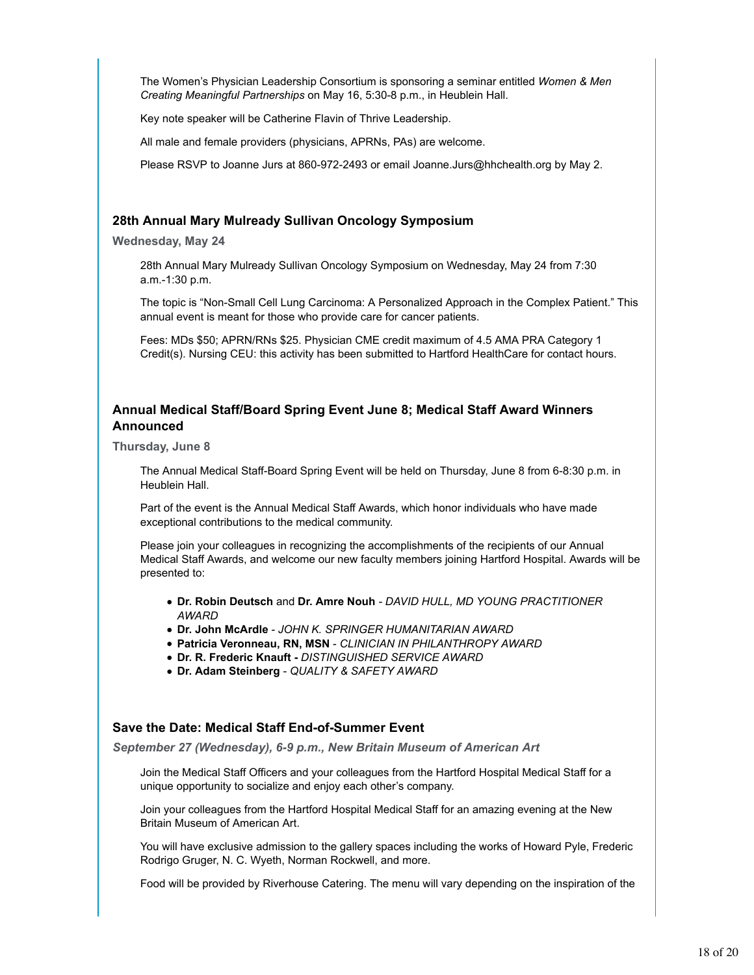The Women's Physician Leadership Consortium is sponsoring a seminar entitled *Women & Men Creating Meaningful Partnerships* on May 16, 5:30-8 p.m., in Heublein Hall.

Key note speaker will be Catherine Flavin of Thrive Leadership.

All male and female providers (physicians, APRNs, PAs) are welcome.

Please RSVP to Joanne Jurs at 860-972-2493 or email Joanne.Jurs@hhchealth.org by May 2.

### **28th Annual Mary Mulready Sullivan Oncology Symposium**

**Wednesday, May 24**

28th Annual Mary Mulready Sullivan Oncology Symposium on Wednesday, May 24 from 7:30 a.m.-1:30 p.m.

The topic is "Non-Small Cell Lung Carcinoma: A Personalized Approach in the Complex Patient." This annual event is meant for those who provide care for cancer patients.

Fees: MDs \$50; APRN/RNs \$25. Physician CME credit maximum of 4.5 AMA PRA Category 1 Credit(s). Nursing CEU: this activity has been submitted to Hartford HealthCare for contact hours.

### **Annual Medical Staff/Board Spring Event June 8; Medical Staff Award Winners Announced**

**Thursday, June 8**

The Annual Medical Staff-Board Spring Event will be held on Thursday, June 8 from 6-8:30 p.m. in Heublein Hall.

Part of the event is the Annual Medical Staff Awards, which honor individuals who have made exceptional contributions to the medical community.

Please join your colleagues in recognizing the accomplishments of the recipients of our Annual Medical Staff Awards, and welcome our new faculty members joining Hartford Hospital. Awards will be presented to:

- **Dr. Robin Deutsch** and **Dr. Amre Nouh** *DAVID HULL, MD YOUNG PRACTITIONER AWARD*
- **Dr. John McArdle** *JOHN K. SPRINGER HUMANITARIAN AWARD*
- **Patricia Veronneau, RN, MSN** *CLINICIAN IN PHILANTHROPY AWARD*
- **Dr. R. Frederic Knauft** *DISTINGUISHED SERVICE AWARD*
- **Dr. Adam Steinberg** *QUALITY & SAFETY AWARD*

### **Save the Date: Medical Staff End-of-Summer Event**

*September 27 (Wednesday), 6-9 p.m., New Britain Museum of American Art*

Join the Medical Staff Officers and your colleagues from the Hartford Hospital Medical Staff for a unique opportunity to socialize and enjoy each other's company.

Join your colleagues from the Hartford Hospital Medical Staff for an amazing evening at the New Britain Museum of American Art.

You will have exclusive admission to the gallery spaces including the works of Howard Pyle, Frederic Rodrigo Gruger, N. C. Wyeth, Norman Rockwell, and more.

Food will be provided by Riverhouse Catering. The menu will vary depending on the inspiration of the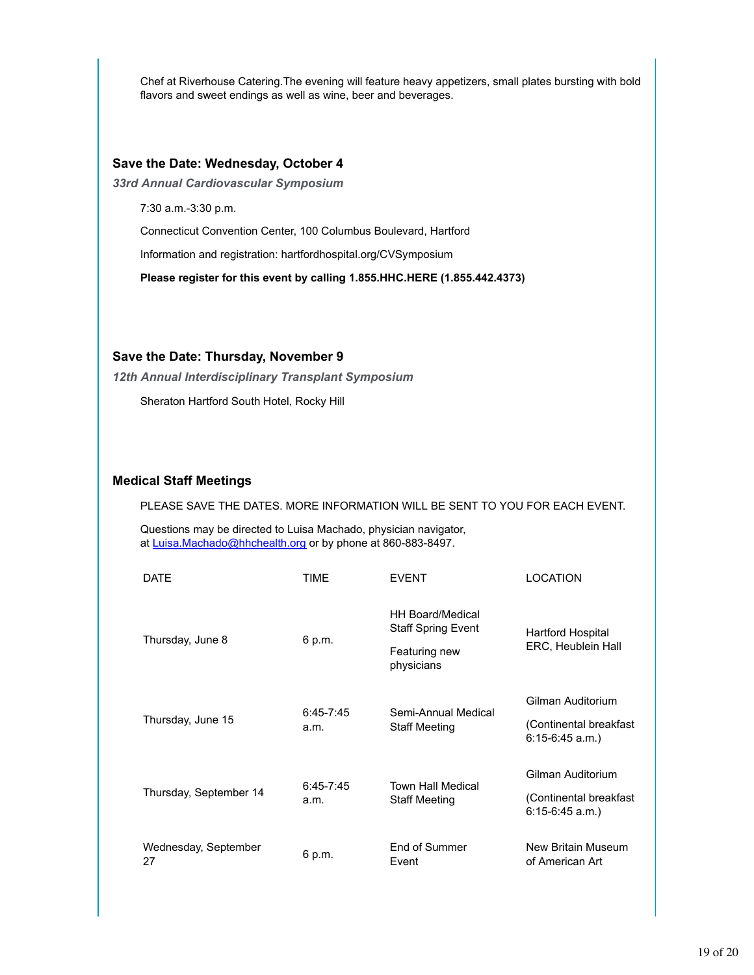Chef at Riverhouse Catering.The evening will feature heavy appetizers, small plates bursting with bold flavors and sweet endings as well as wine, beer and beverages.

### **Save the Date: Wednesday, October 4**

*33rd Annual Cardiovascular Symposium*

7:30 a.m.-3:30 p.m.

Connecticut Convention Center, 100 Columbus Boulevard, Hartford

Information and registration: hartfordhospital.org/CVSymposium

**Please register for this event by calling 1.855.HHC.HERE (1.855.442.4373)**

### **Save the Date: Thursday, November 9**

*12th Annual Interdisciplinary Transplant Symposium*

Sheraton Hartford South Hotel, Rocky Hill

### **Medical Staff Meetings**

PLEASE SAVE THE DATES. MORE INFORMATION WILL BE SENT TO YOU FOR EACH EVENT.

Questions may be directed to Luisa Machado, physician navigator, at Luisa.Machado@hhchealth.org or by phone at 860-883-8497.

| <b>DATE</b>                | TIME                  | <b>FVFNT</b>                                                                        | LOCATION                                                         |
|----------------------------|-----------------------|-------------------------------------------------------------------------------------|------------------------------------------------------------------|
| Thursday, June 8           | 6 p.m.                | <b>HH Board/Medical</b><br><b>Staff Spring Event</b><br>Featuring new<br>physicians | Hartford Hospital<br>ERC, Heublein Hall                          |
| Thursday, June 15          | $6:45 - 7:45$<br>a.m. | Semi-Annual Medical<br><b>Staff Meeting</b>                                         | Gilman Auditorium<br>(Continental breakfast<br>$6:15-6:45$ a.m.) |
| Thursday, September 14     | $6:45 - 7:45$<br>a.m. | <b>Town Hall Medical</b><br><b>Staff Meeting</b>                                    | Gilman Auditorium<br>(Continental breakfast<br>$6:15-6:45$ a.m.) |
| Wednesday, September<br>27 | 6 p.m.                | End of Summer<br>Event                                                              | New Britain Museum<br>of American Art                            |